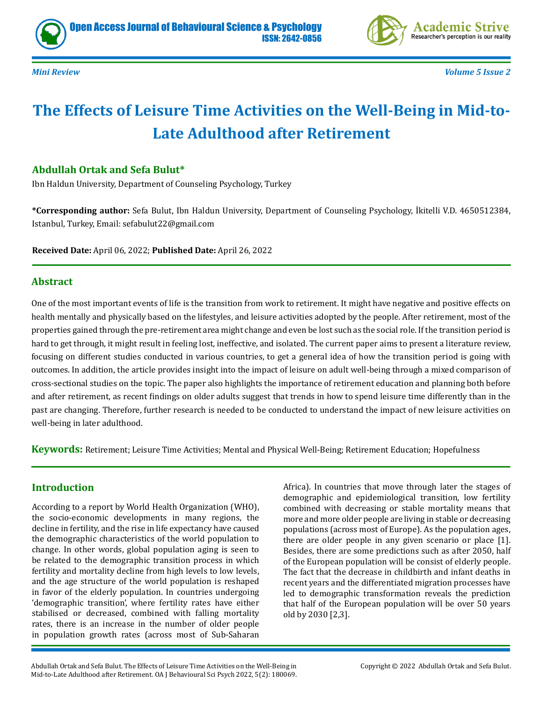



*Mini Review Volume 5 Issue 2*

# **The Effects of Leisure Time Activities on the Well-Being in Mid-to-Late Adulthood after Retirement**

### **Abdullah Ortak and Sefa Bulut\***

Ibn Haldun University, Department of Counseling Psychology, Turkey

**\*Corresponding author:** Sefa Bulut, Ibn Haldun University, Department of Counseling Psychology, İkitelli V.D. 4650512384, Istanbul, Turkey, Email: sefabulut22@gmail.com

**Received Date:** April 06, 2022; **Published Date:** April 26, 2022

#### **Abstract**

One of the most important events of life is the transition from work to retirement. It might have negative and positive effects on health mentally and physically based on the lifestyles, and leisure activities adopted by the people. After retirement, most of the properties gained through the pre-retirement area might change and even be lost such as the social role. If the transition period is hard to get through, it might result in feeling lost, ineffective, and isolated. The current paper aims to present a literature review, focusing on different studies conducted in various countries, to get a general idea of how the transition period is going with outcomes. In addition, the article provides insight into the impact of leisure on adult well-being through a mixed comparison of cross-sectional studies on the topic. The paper also highlights the importance of retirement education and planning both before and after retirement, as recent findings on older adults suggest that trends in how to spend leisure time differently than in the past are changing. Therefore, further research is needed to be conducted to understand the impact of new leisure activities on well-being in later adulthood.

**Keywords:** Retirement; Leisure Time Activities; Mental and Physical Well-Being; Retirement Education; Hopefulness

## **Introduction**

According to a report by World Health Organization (WHO), the socio-economic developments in many regions, the decline in fertility, and the rise in life expectancy have caused the demographic characteristics of the world population to change. In other words, global population aging is seen to be related to the demographic transition process in which fertility and mortality decline from high levels to low levels, and the age structure of the world population is reshaped in favor of the elderly population. In countries undergoing 'demographic transition', where fertility rates have either stabilised or decreased, combined with falling mortality rates, there is an increase in the number of older people in population growth rates (across most of Sub-Saharan Africa). In countries that move through later the stages of demographic and epidemiological transition, low fertility combined with decreasing or stable mortality means that more and more older people are living in stable or decreasing populations (across most of Europe). As the population ages, there are older people in any given scenario or place [1]. Besides, there are some predictions such as after 2050, half of the European population will be consist of elderly people. The fact that the decrease in childbirth and infant deaths in recent years and the differentiated migration processes have led to demographic transformation reveals the prediction that half of the European population will be over 50 years old by 2030 [2,3].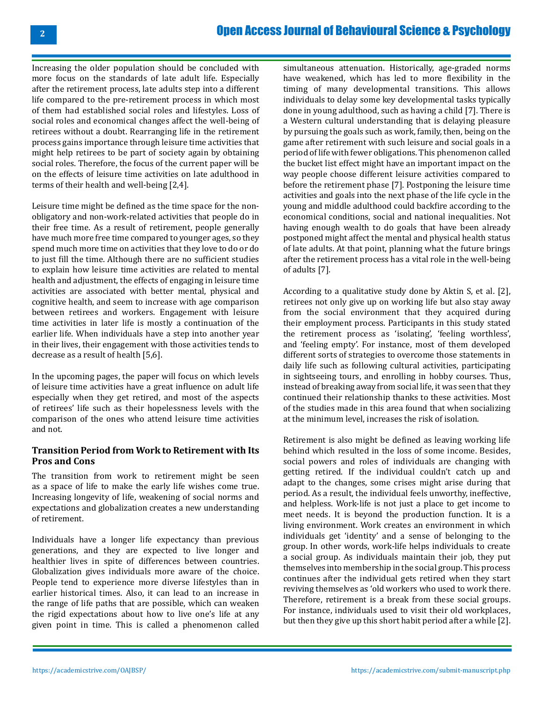## [Open Access Journal of Behavioural Science & Psychology](https://academicstrive.com/OAJBSP/)

Increasing the older population should be concluded with more focus on the standards of late adult life. Especially after the retirement process, late adults step into a different life compared to the pre-retirement process in which most of them had established social roles and lifestyles. Loss of social roles and economical changes affect the well-being of retirees without a doubt. Rearranging life in the retirement process gains importance through leisure time activities that might help retirees to be part of society again by obtaining social roles. Therefore, the focus of the current paper will be on the effects of leisure time activities on late adulthood in terms of their health and well-being [2,4].

Leisure time might be defined as the time space for the nonobligatory and non-work-related activities that people do in their free time. As a result of retirement, people generally have much more free time compared to younger ages, so they spend much more time on activities that they love to do or do to just fill the time. Although there are no sufficient studies to explain how leisure time activities are related to mental health and adjustment, the effects of engaging in leisure time activities are associated with better mental, physical and cognitive health, and seem to increase with age comparison between retirees and workers. Engagement with leisure time activities in later life is mostly a continuation of the earlier life. When individuals have a step into another year in their lives, their engagement with those activities tends to decrease as a result of health [5,6].

In the upcoming pages, the paper will focus on which levels of leisure time activities have a great influence on adult life especially when they get retired, and most of the aspects of retirees' life such as their hopelessness levels with the comparison of the ones who attend leisure time activities and not.

#### **Transition Period from Work to Retirement with Its Pros and Cons**

The transition from work to retirement might be seen as a space of life to make the early life wishes come true. Increasing longevity of life, weakening of social norms and expectations and globalization creates a new understanding of retirement.

Individuals have a longer life expectancy than previous generations, and they are expected to live longer and healthier lives in spite of differences between countries. Globalization gives individuals more aware of the choice. People tend to experience more diverse lifestyles than in earlier historical times. Also, it can lead to an increase in the range of life paths that are possible, which can weaken the rigid expectations about how to live one's life at any given point in time. This is called a phenomenon called

simultaneous attenuation. Historically, age-graded norms have weakened, which has led to more flexibility in the timing of many developmental transitions. This allows individuals to delay some key developmental tasks typically done in young adulthood, such as having a child [7]. There is a Western cultural understanding that is delaying pleasure by pursuing the goals such as work, family, then, being on the game after retirement with such leisure and social goals in a period of life with fewer obligations. This phenomenon called the bucket list effect might have an important impact on the way people choose different leisure activities compared to before the retirement phase [7]. Postponing the leisure time activities and goals into the next phase of the life cycle in the young and middle adulthood could backfire according to the economical conditions, social and national inequalities. Not having enough wealth to do goals that have been already postponed might affect the mental and physical health status of late adults. At that point, planning what the future brings after the retirement process has a vital role in the well-being of adults [7].

According to a qualitative study done by Aktin S, et al. [2], retirees not only give up on working life but also stay away from the social environment that they acquired during their employment process. Participants in this study stated the retirement process as 'isolating', 'feeling worthless', and 'feeling empty'. For instance, most of them developed different sorts of strategies to overcome those statements in daily life such as following cultural activities, participating in sightseeing tours, and enrolling in hobby courses. Thus, instead of breaking away from social life, it was seen that they continued their relationship thanks to these activities. Most of the studies made in this area found that when socializing at the minimum level, increases the risk of isolation.

Retirement is also might be defined as leaving working life behind which resulted in the loss of some income. Besides, social powers and roles of individuals are changing with getting retired. If the individual couldn't catch up and adapt to the changes, some crises might arise during that period. As a result, the individual feels unworthy, ineffective, and helpless. Work-life is not just a place to get income to meet needs. It is beyond the production function. It is a living environment. Work creates an environment in which individuals get 'identity' and a sense of belonging to the group. In other words, work-life helps individuals to create a social group. As individuals maintain their job, they put themselves into membership in the social group. This process continues after the individual gets retired when they start reviving themselves as 'old workers who used to work there. Therefore, retirement is a break from these social groups. For instance, individuals used to visit their old workplaces, but then they give up this short habit period after a while [2].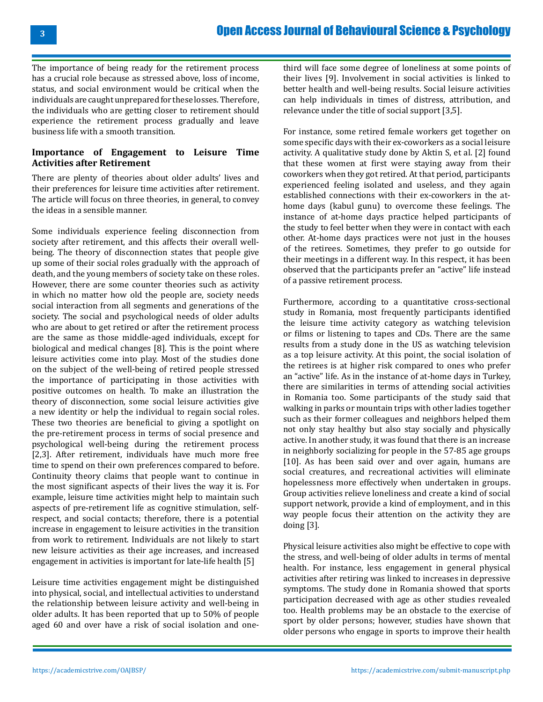The importance of being ready for the retirement process has a crucial role because as stressed above, loss of income, status, and social environment would be critical when the individuals are caught unprepared for these losses. Therefore, the individuals who are getting closer to retirement should experience the retirement process gradually and leave business life with a smooth transition.

#### **Importance of Engagement to Leisure Time Activities after Retirement**

There are plenty of theories about older adults' lives and their preferences for leisure time activities after retirement. The article will focus on three theories, in general, to convey the ideas in a sensible manner.

Some individuals experience feeling disconnection from society after retirement, and this affects their overall wellbeing. The theory of disconnection states that people give up some of their social roles gradually with the approach of death, and the young members of society take on these roles. However, there are some counter theories such as activity in which no matter how old the people are, society needs social interaction from all segments and generations of the society. The social and psychological needs of older adults who are about to get retired or after the retirement process are the same as those middle-aged individuals, except for biological and medical changes [8]. This is the point where leisure activities come into play. Most of the studies done on the subject of the well-being of retired people stressed the importance of participating in those activities with positive outcomes on health. To make an illustration the theory of disconnection, some social leisure activities give a new identity or help the individual to regain social roles. These two theories are beneficial to giving a spotlight on the pre-retirement process in terms of social presence and psychological well-being during the retirement process [2,3]. After retirement, individuals have much more free time to spend on their own preferences compared to before. Continuity theory claims that people want to continue in the most significant aspects of their lives the way it is. For example, leisure time activities might help to maintain such aspects of pre-retirement life as cognitive stimulation, selfrespect, and social contacts; therefore, there is a potential increase in engagement to leisure activities in the transition from work to retirement. Individuals are not likely to start new leisure activities as their age increases, and increased engagement in activities is important for late-life health [5]

Leisure time activities engagement might be distinguished into physical, social, and intellectual activities to understand the relationship between leisure activity and well-being in older adults. It has been reported that up to 50% of people aged 60 and over have a risk of social isolation and one-

third will face some degree of loneliness at some points of their lives [9]. Involvement in social activities is linked to better health and well-being results. Social leisure activities can help individuals in times of distress, attribution, and relevance under the title of social support [3,5].

For instance, some retired female workers get together on some specific days with their ex-coworkers as a social leisure activity. A qualitative study done by Aktin S, et al. [2] found that these women at first were staying away from their coworkers when they got retired. At that period, participants experienced feeling isolated and useless, and they again established connections with their ex-coworkers in the athome days (kabul gunu) to overcome these feelings. The instance of at-home days practice helped participants of the study to feel better when they were in contact with each other. At-home days practices were not just in the houses of the retirees. Sometimes, they prefer to go outside for their meetings in a different way. In this respect, it has been observed that the participants prefer an "active" life instead of a passive retirement process.

Furthermore, according to a quantitative cross-sectional study in Romania, most frequently participants identified the leisure time activity category as watching television or films or listening to tapes and CDs. There are the same results from a study done in the US as watching television as a top leisure activity. At this point, the social isolation of the retirees is at higher risk compared to ones who prefer an "active" life. As in the instance of at-home days in Turkey, there are similarities in terms of attending social activities in Romania too. Some participants of the study said that walking in parks or mountain trips with other ladies together such as their former colleagues and neighbors helped them not only stay healthy but also stay socially and physically active. In another study, it was found that there is an increase in neighborly socializing for people in the 57-85 age groups [10]. As has been said over and over again, humans are social creatures, and recreational activities will eliminate hopelessness more effectively when undertaken in groups. Group activities relieve loneliness and create a kind of social support network, provide a kind of employment, and in this way people focus their attention on the activity they are doing [3].

Physical leisure activities also might be effective to cope with the stress, and well-being of older adults in terms of mental health. For instance, less engagement in general physical activities after retiring was linked to increases in depressive symptoms. The study done in Romania showed that sports participation decreased with age as other studies revealed too. Health problems may be an obstacle to the exercise of sport by older persons; however, studies have shown that older persons who engage in sports to improve their health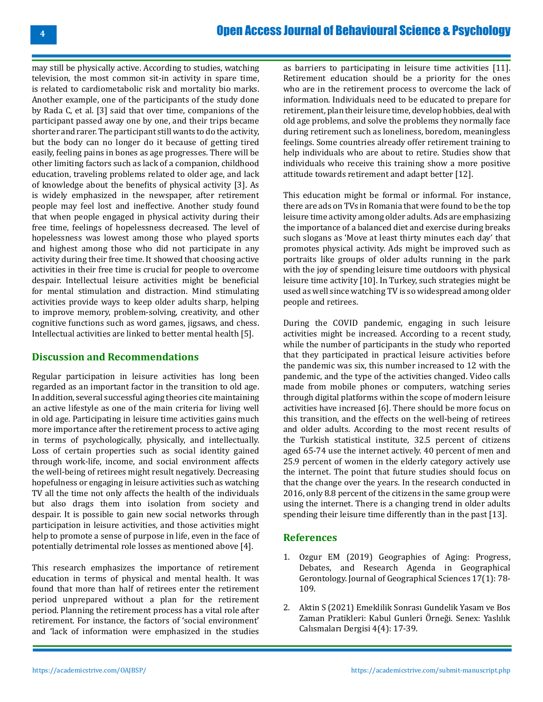## [Open Access Journal of Behavioural Science & Psychology](https://academicstrive.com/OAJBSP/)

may still be physically active. According to studies, watching television, the most common sit-in activity in spare time, is related to cardiometabolic risk and mortality bio marks. Another example, one of the participants of the study done by Rada C, et al. [3] said that over time, companions of the participant passed away one by one, and their trips became shorter and rarer. The participant still wants to do the activity, but the body can no longer do it because of getting tired easily, feeling pains in bones as age progresses. There will be other limiting factors such as lack of a companion, childhood education, traveling problems related to older age, and lack of knowledge about the benefits of physical activity [3]. As is widely emphasized in the newspaper, after retirement people may feel lost and ineffective. Another study found that when people engaged in physical activity during their free time, feelings of hopelessness decreased. The level of hopelessness was lowest among those who played sports and highest among those who did not participate in any activity during their free time. It showed that choosing active activities in their free time is crucial for people to overcome despair. Intellectual leisure activities might be beneficial for mental stimulation and distraction. Mind stimulating activities provide ways to keep older adults sharp, helping to improve memory, problem-solving, creativity, and other cognitive functions such as word games, jigsaws, and chess. Intellectual activities are linked to better mental health [5].

#### **Discussion and Recommendations**

Regular participation in leisure activities has long been regarded as an important factor in the transition to old age. In addition, several successful aging theories cite maintaining an active lifestyle as one of the main criteria for living well in old age. Participating in leisure time activities gains much more importance after the retirement process to active aging in terms of psychologically, physically, and intellectually. Loss of certain properties such as social identity gained through work-life, income, and social environment affects the well-being of retirees might result negatively. Decreasing hopefulness or engaging in leisure activities such as watching TV all the time not only affects the health of the individuals but also drags them into isolation from society and despair. It is possible to gain new social networks through participation in leisure activities, and those activities might help to promote a sense of purpose in life, even in the face of potentially detrimental role losses as mentioned above [4].

This research emphasizes the importance of retirement education in terms of physical and mental health. It was found that more than half of retirees enter the retirement period unprepared without a plan for the retirement period. Planning the retirement process has a vital role after retirement. For instance, the factors of 'social environment' and 'lack of information were emphasized in the studies

as barriers to participating in leisure time activities [11]. Retirement education should be a priority for the ones who are in the retirement process to overcome the lack of information. Individuals need to be educated to prepare for retirement, plan their leisure time, develop hobbies, deal with old age problems, and solve the problems they normally face during retirement such as loneliness, boredom, meaningless feelings. Some countries already offer retirement training to help individuals who are about to retire. Studies show that individuals who receive this training show a more positive attitude towards retirement and adapt better [12].

This education might be formal or informal. For instance, there are ads on TVs in Romania that were found to be the top leisure time activity among older adults. Ads are emphasizing the importance of a balanced diet and exercise during breaks such slogans as 'Move at least thirty minutes each day' that promotes physical activity. Ads might be improved such as portraits like groups of older adults running in the park with the joy of spending leisure time outdoors with physical leisure time activity [10]. In Turkey, such strategies might be used as well since watching TV is so widespread among older people and retirees.

During the COVID pandemic, engaging in such leisure activities might be increased. According to a recent study, while the number of participants in the study who reported that they participated in practical leisure activities before the pandemic was six, this number increased to 12 with the pandemic, and the type of the activities changed. Video calls made from mobile phones or computers, watching series through digital platforms within the scope of modern leisure activities have increased [6]. There should be more focus on this transition, and the effects on the well-being of retirees and older adults. According to the most recent results of the Turkish statistical institute, 32.5 percent of citizens aged 65-74 use the internet actively. 40 percent of men and 25.9 percent of women in the elderly category actively use the internet. The point that future studies should focus on that the change over the years. In the research conducted in 2016, only 8.8 percent of the citizens in the same group were using the internet. There is a changing trend in older adults spending their leisure time differently than in the past [13].

#### **References**

- 1. [Ozgur EM \(2019\) Geographies of Aging: Progress,](https://dergipark.org.tr/en/pub/aucbd/article/512325) [Debates, and Research Agenda in Geographical](https://dergipark.org.tr/en/pub/aucbd/article/512325)  [Gerontology. Journal of Geographical Sciences 17\(1\): 78-](https://dergipark.org.tr/en/pub/aucbd/article/512325) [109.](https://dergipark.org.tr/en/pub/aucbd/article/512325)
- 2. [Aktin S \(2021\) Emeklilik Sonrası Gundelik Yasam ve Bos](https://dergipark.org.tr/tr/download/article-file/1543721) [Zaman Pratikleri: Kabul Gunleri Örneği. Senex: Yaslılık](https://dergipark.org.tr/tr/download/article-file/1543721)  [Calısmaları Dergisi 4\(4\): 17-39.](https://dergipark.org.tr/tr/download/article-file/1543721)